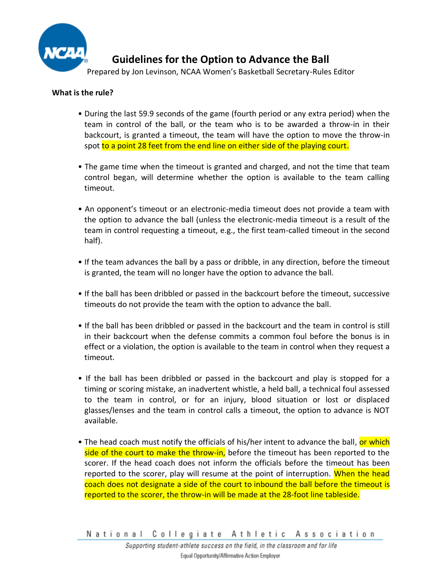

## **What is the rule?**

- During the last 59.9 seconds of the game (fourth period or any extra period) when the team in control of the ball, or the team who is to be awarded a throw-in in their backcourt, is granted a timeout, the team will have the option to move the throw-in spot to a point 28 feet from the end line on either side of the playing court.
- The game time when the timeout is granted and charged, and not the time that team control began, will determine whether the option is available to the team calling timeout.
- An opponent's timeout or an electronic-media timeout does not provide a team with the option to advance the ball (unless the electronic-media timeout is a result of the team in control requesting a timeout, e.g., the first team-called timeout in the second half).
- If the team advances the ball by a pass or dribble, in any direction, before the timeout is granted, the team will no longer have the option to advance the ball.
- If the ball has been dribbled or passed in the backcourt before the timeout, successive timeouts do not provide the team with the option to advance the ball.
- If the ball has been dribbled or passed in the backcourt and the team in control is still in their backcourt when the defense commits a common foul before the bonus is in effect or a violation, the option is available to the team in control when they request a timeout.
- If the ball has been dribbled or passed in the backcourt and play is stopped for a timing or scoring mistake, an inadvertent whistle, a held ball, a technical foul assessed to the team in control, or for an injury, blood situation or lost or displaced glasses/lenses and the team in control calls a timeout, the option to advance is NOT available.
- The head coach must notify the officials of his/her intent to advance the ball, or which side of the court to make the throw-in, before the timeout has been reported to the scorer. If the head coach does not inform the officials before the timeout has been reported to the scorer, play will resume at the point of interruption. When the head coach does not designate a side of the court to inbound the ball before the timeout is reported to the scorer, the throw-in will be made at the 28-foot line tableside.

National Collegiate Athletic Association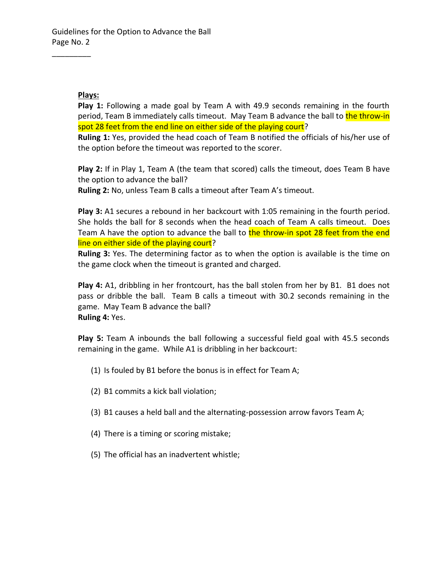## **Plays:**

 $\overline{\phantom{a}}$  . The set of the set of the set of the set of the set of the set of the set of the set of the set of the set of the set of the set of the set of the set of the set of the set of the set of the set of the set o

**Play 1:** Following a made goal by Team A with 49.9 seconds remaining in the fourth period, Team B immediately calls timeout. May Team B advance the ball to the throw-in spot 28 feet from the end line on either side of the playing court?

**Ruling 1:** Yes, provided the head coach of Team B notified the officials of his/her use of the option before the timeout was reported to the scorer.

**Play 2:** If in Play 1, Team A (the team that scored) calls the timeout, does Team B have the option to advance the ball?

**Ruling 2:** No, unless Team B calls a timeout after Team A's timeout.

**Play 3:** A1 secures a rebound in her backcourt with 1:05 remaining in the fourth period. She holds the ball for 8 seconds when the head coach of Team A calls timeout. Does Team A have the option to advance the ball to the throw-in spot 28 feet from the end line on either side of the playing court?

**Ruling 3:** Yes. The determining factor as to when the option is available is the time on the game clock when the timeout is granted and charged.

**Play 4:** A1, dribbling in her frontcourt, has the ball stolen from her by B1. B1 does not pass or dribble the ball. Team B calls a timeout with 30.2 seconds remaining in the game. May Team B advance the ball? **Ruling 4:** Yes.

**Play 5:** Team A inbounds the ball following a successful field goal with 45.5 seconds remaining in the game. While A1 is dribbling in her backcourt:

- (1) Is fouled by B1 before the bonus is in effect for Team A;
- (2) B1 commits a kick ball violation;
- (3) B1 causes a held ball and the alternating-possession arrow favors Team A;
- (4) There is a timing or scoring mistake;
- (5) The official has an inadvertent whistle;